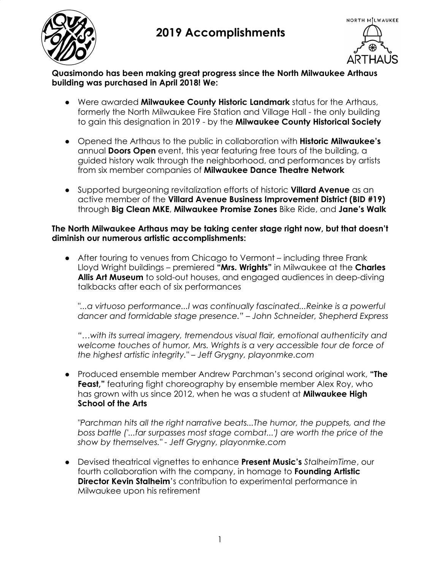



**Quasimondo has been making great progress since the North Milwaukee Arthaus building was purchased in April 2018! We:**

- Were awarded **Milwaukee County Historic Landmark** status for the Arthaus, formerly the North Milwaukee Fire Station and Village Hall - the only building to gain this designation in 2019 - by the **Milwaukee County Historical Society**
- Opened the Arthaus to the public in collaboration with **Historic Milwaukee's** annual **Doors Open** event, this year featuring free tours of the building, a guided history walk through the neighborhood, and performances by artists from six member companies of **Milwaukee Dance Theatre Network**
- Supported burgeoning revitalization efforts of historic **Villard Avenue** as an active member of the **Villard Avenue Business Improvement District (BID #19)** through **Big Clean MKE**, **Milwaukee Promise Zones** Bike Ride, and **Jane's Walk**

#### **The North Milwaukee Arthaus may be taking center stage right now, but that doesn't diminish our numerous artistic accomplishments:**

● After touring to venues from Chicago to Vermont – including three Frank Lloyd Wright buildings – premiered **"Mrs. Wrights"** in Milwaukee at the **Charles Allis Art Museum** to sold-out houses, and engaged audiences in deep-diving talkbacks after each of six performances

*"...a virtuoso performance...I was continually fascinated...Reinke is a powerful dancer and formidable stage presence." – John Schneider, Shepherd Express*

*"…with its surreal imagery, tremendous visual flair, emotional authenticity and welcome touches of humor, Mrs. Wrights is a very accessible tour de force of the highest artistic integrity." – Jeff Grygny, playonmke.com*

● Produced ensemble member Andrew Parchman's second original work, **"The Feast,"** featuring fight choreography by ensemble member Alex Roy, who has grown with us since 2012, when he was a student at **Milwaukee High School of the Arts**

*"Parchman hits all the right narrative beats...The humor, the puppets, and the boss battle ('...far surpasses most stage combat...') are worth the price of the show by themselves." - Jeff Grygny, playonmke.com*

● Devised theatrical vignettes to enhance **Present Music's** *StalheimTime*, our fourth collaboration with the company, in homage to **Founding Artistic Director Kevin Stalheim**'s contribution to experimental performance in Milwaukee upon his retirement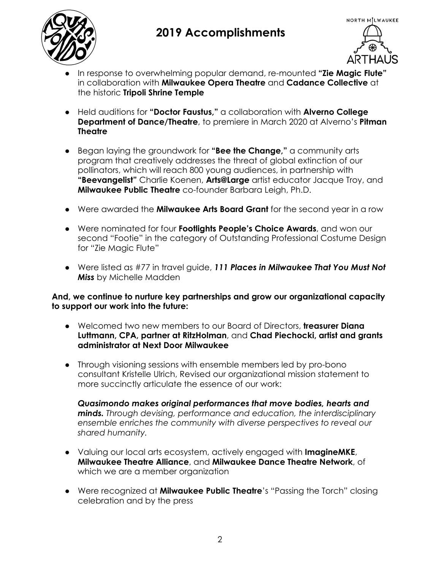



- In response to overwhelming popular demand, re-mounted **"Zie Magic Flute"** in collaboration with **Milwaukee Opera Theatre** and **Cadance Collective** at the historic **Tripoli Shrine Temple**
- Held auditions for **"Doctor Faustus,"** a collaboration with **Alverno College Department of Dance/Theatre**, to premiere in March 2020 at Alverno's **Pitman Theatre**
- Began laying the groundwork for **"Bee the Change,"** a community arts program that creatively addresses the threat of global extinction of our pollinators, which will reach 800 young audiences, in partnership with **"Beevangelist"** Charlie Koenen, **Arts@Large** artist educator Jacque Troy, and **Milwaukee Public Theatre** co-founder Barbara Leigh, Ph.D.
- Were awarded the **Milwaukee Arts Board Grant** for the second year in a row
- Were nominated for four **Footlights People's Choice Awards**, and won our second "Footie" in the category of Outstanding Professional Costume Design for "Zie Magic Flute"
- Were listed as #77 in travel guide, *111 Places in Milwaukee That You Must Not Miss* by Michelle Madden

**And, we continue to nurture key partnerships and grow our organizational capacity to support our work into the future:**

- Welcomed two new members to our Board of Directors, **treasurer Diana Luttmann, CPA, partner at RitzHolman**, and **Chad Piechocki, artist and grants administrator at Next Door Milwaukee**
- Through visioning sessions with ensemble members led by pro-bono consultant Kristelle Ulrich, Revised our organizational mission statement to more succinctly articulate the essence of our work:

*Quasimondo makes original performances that move bodies, hearts and minds. Through devising, performance and education, the interdisciplinary ensemble enriches the community with diverse perspectives to reveal our shared humanity.*

- Valuing our local arts ecosystem, actively engaged with **ImagineMKE**, **Milwaukee Theatre Alliance**, and **Milwaukee Dance Theatre Network**, of which we are a member organization
- Were recognized at **Milwaukee Public Theatre**'s "Passing the Torch" closing celebration and by the press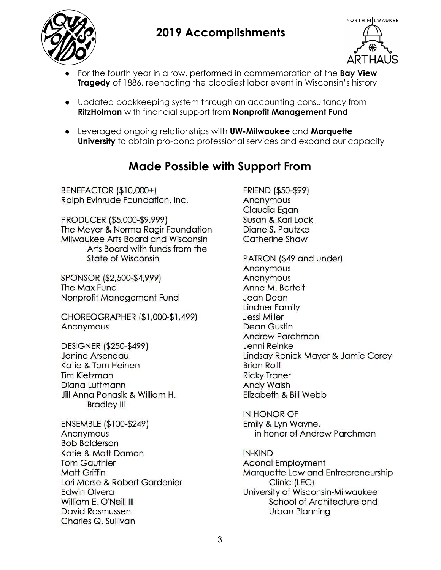



- For the fourth year in a row, performed in commemoration of the **Bay View Tragedy** of 1886, reenacting the bloodiest labor event in Wisconsin's history
- Updated bookkeeping system through an accounting consultancy from **RitzHolman** with financial support from **Nonprofit Management Fund**
- Leveraged ongoing relationships with **UW-Milwaukee** and **Marquette University** to obtain pro-bono professional services and expand our capacity

#### **Made Possible with Support From**

BENEFACTOR (\$10,000+) Ralph Evinrude Foundation, Inc.

PRODUCER (\$5,000-\$9,999) The Meyer & Norma Ragir Foundation Milwaukee Arts Board and Wisconsin Arts Board with funds from the **State of Wisconsin** 

SPONSOR (\$2,500-\$4,999) The Max Fund Nonprofit Management Fund

CHOREOGRAPHER (\$1,000-\$1,499) Anonymous

DESIGNER (\$250-\$499) Janine Arseneau Katie & Tom Heinen **Tim Kietzman** Diana Luttmann Jill Anna Ponasik & William H. **Bradley III** 

ENSEMBLE (\$100-\$249) Anonymous **Bob Balderson** Katie & Matt Damon **Tom Gauthier Matt Griffin** Lori Morse & Robert Gardenier **Edwin Olvera** William E. O'Neill III David Rasmussen Charles Q. Sullivan

**FRIEND (\$50-\$99)** Anonymous Claudia Egan Susan & Karl Lock Diane S. Pautzke **Catherine Shaw** 

PATRON (\$49 and under) Anonymous Anonymous Anne M. Bartelt **Jean Dean Lindner Family** Jessi Miller Dean Gustin **Andrew Parchman** Jenni Reinke Lindsay Renick Mayer & Jamie Corey **Brian Rott Ricky Traner Andy Walsh** Elizabeth & Bill Webb

**IN HONOR OF** Emily & Lyn Wayne, in honor of Andrew Parchman

IN-KIND Adonai Employment Marquette Law and Entrepreneurship Clinic (LEC) University of Wisconsin-Milwaukee School of Architecture and **Urban Planning**